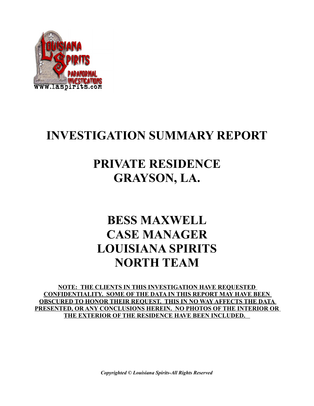

# **INVESTIGATION SUMMARY REPORT**

## **PRIVATE RESIDENCE GRAYSON, LA.**

# **BESS MAXWELL CASE MANAGER LOUISIANA SPIRITS NORTH TEAM**

**NOTE: THE CLIENTS IN THIS INVESTIGATION HAVE REQUESTED CONFIDENTIALITY. SOME OF THE DATA IN THIS REPORT MAY HAVE BEEN OBSCURED TO HONOR THEIR REQUEST. THIS IN NO WAY AFFECTS THE DATA PRESENTED, OR ANY CONCLUSIONS HEREIN. NO PHOTOS OF THE INTERIOR OR THE EXTERIOR OF THE RESIDENCE HAVE BEEN INCLUDED.** 

*Copyrighted © Louisiana Spirits-All Rights Reserved*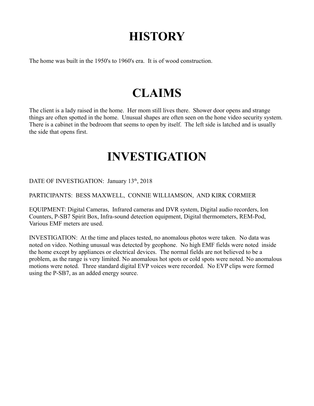# **HISTORY**

The home was built in the 1950's to 1960's era. It is of wood construction.

# **CLAIMS**

The client is a lady raised in the home. Her mom still lives there. Shower door opens and strange things are often spotted in the home. Unusual shapes are often seen on the hone video security system. There is a cabinet in the bedroom that seems to open by itself. The left side is latched and is usually the side that opens first.

## **INVESTIGATION**

DATE OF INVESTIGATION: January 13<sup>th</sup>, 2018

#### PARTICIPANTS: BESS MAXWELL, CONNIE WILLIAMSON, AND KIRK CORMIER

EQUIPMENT: Digital Cameras, Infrared cameras and DVR system, Digital audio recorders, Ion Counters, P-SB7 Spirit Box, Infra-sound detection equipment, Digital thermometers, REM-Pod, Various EMF meters are used.

INVESTIGATION: At the time and places tested, no anomalous photos were taken. No data was noted on video. Nothing unusual was detected by geophone. No high EMF fields were noted inside the home except by appliances or electrical devices. The normal fields are not believed to be a problem, as the range is very limited. No anomalous hot spots or cold spots were noted. No anomalous motions were noted. Three standard digital EVP voices were recorded. No EVP clips were formed using the P-SB7, as an added energy source.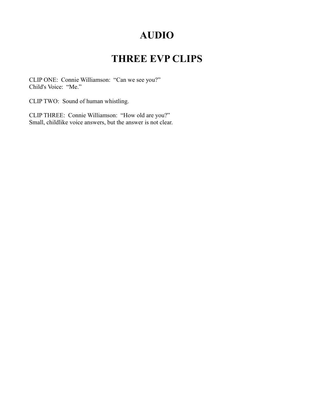### **AUDIO**

## **THREE EVP CLIPS**

CLIP ONE: Connie Williamson: "Can we see you?" Child's Voice: "Me."

CLIP TWO: Sound of human whistling.

CLIP THREE: Connie Williamson: "How old are you?" Small, childlike voice answers, but the answer is not clear.